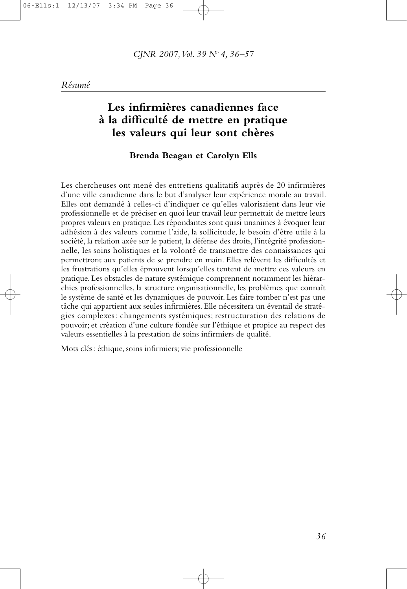# **Les infirmières canadiennes face à la difficulté de mettre en pratique les valeurs qui leur sont chères**

#### **Brenda Beagan et Carolyn Ells**

Les chercheuses ont mené des entretiens qualitatifs auprès de 20 infirmières d'une ville canadienne dans le but d'analyser leur expérience morale au travail. Elles ont demandé à celles-ci d'indiquer ce qu'elles valorisaient dans leur vie professionnelle et de préciser en quoi leur travail leur permettait de mettre leurs propres valeurs en pratique. Les répondantes sont quasi unanimes à évoquer leur adhésion à des valeurs comme l'aide, la sollicitude, le besoin d'être utile à la société, la relation axée sur le patient, la défense des droits, l'intégrité professionnelle, les soins holistiques et la volonté de transmettre des connaissances qui permettront aux patients de se prendre en main. Elles relèvent les difficultés et les frustrations qu'elles éprouvent lorsqu'elles tentent de mettre ces valeurs en pratique. Les obstacles de nature systémique comprennent notamment les hiérarchies professionnelles, la structure organisationnelle, les problèmes que connaît le système de santé et les dynamiques de pouvoir. Les faire tomber n'est pas une tâche qui appartient aux seules infirmières. Elle nécessitera un éventail de stratégies complexes : changements systémiques; restructuration des relations de pouvoir; et création d'une culture fondée sur l'éthique et propice au respect des valeurs essentielles à la prestation de soins infirmiers de qualité.

Mots clés: éthique, soins infirmiers; vie professionnelle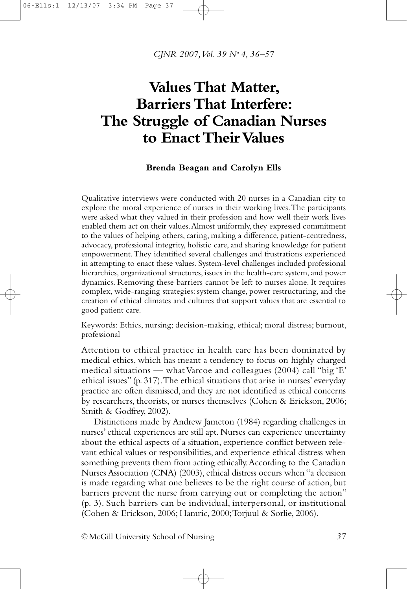# **Values That Matter, Barriers That Interfere: The Struggle of Canadian Nurses to Enact TheirValues**

#### **Brenda Beagan and Carolyn Ells**

Qualitative interviews were conducted with 20 nurses in a Canadian city to explore the moral experience of nurses in their working lives.The participants were asked what they valued in their profession and how well their work lives enabled them act on their values.Almost uniformly, they expressed commitment to the values of helping others, caring, making a difference, patient-centredness, advocacy, professional integrity, holistic care, and sharing knowledge for patient empowerment.They identified several challenges and frustrations experienced in attempting to enact these values. System-level challenges included professional hierarchies, organizational structures, issues in the health-care system, and power dynamics. Removing these barriers cannot be left to nurses alone. It requires complex, wide-ranging strategies: system change, power restructuring, and the creation of ethical climates and cultures that support values that are essential to good patient care.

Keywords: Ethics, nursing; decision-making, ethical; moral distress; burnout, professional

Attention to ethical practice in health care has been dominated by medical ethics, which has meant a tendency to focus on highly charged medical situations — what Varcoe and colleagues  $(2004)$  call "big 'E' ethical issues" (p. 317).The ethical situations that arise in nurses' everyday practice are often dismissed,and they are not identified as ethical concerns by researchers, theorists, or nurses themselves (Cohen & Erickson, 2006; Smith & Godfrey, 2002).

Distinctions made by Andrew Jameton (1984) regarding challenges in nurses' ethical experiences are still apt. Nurses can experience uncertainty about the ethical aspects of a situation, experience conflict between relevant ethical values or responsibilities, and experience ethical distress when something prevents them from acting ethically.According to the Canadian Nurses Association (CNA) (2003), ethical distress occurs when "a decision is made regarding what one believes to be the right course of action, but barriers prevent the nurse from carrying out or completing the action" (p. 3). Such barriers can be individual, interpersonal, or institutional (Cohen & Erickson, 2006; Hamric, 2000;Torjuul & Sorlie, 2006).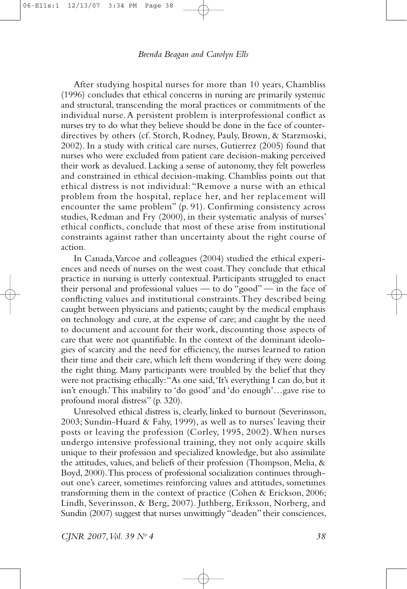After studying hospital nurses for more than 10 years, Chambliss (1996) concludes that ethical concerns in nursing are primarily systemic and structural, transcending the moral practices or commitments of the individual nurse.A persistent problem is interprofessional conflict as nurses try to do what they believe should be done in the face of counterdirectives by others (cf. Storch, Rodney, Pauly, Brown, & Starzmoski, 2002). In a study with critical care nurses, Gutierrez (2005) found that nurses who were excluded from patient care decision-making perceived their work as devalued. Lacking a sense of autonomy, they felt powerless and constrained in ethical decision-making. Chambliss points out that ethical distress is not individual: "Remove a nurse with an ethical problem from the hospital, replace her, and her replacement will encounter the same problem" (p. 91). Confirming consistency across studies, Redman and Fry (2000), in their systematic analysis of nurses' ethical conflicts, conclude that most of these arise from institutional constraints against rather than uncertainty about the right course of action.

In Canada,Varcoe and colleagues (2004) studied the ethical experiences and needs of nurses on the west coast.They conclude that ethical practice in nursing is utterly contextual. Participants struggled to enact their personal and professional values — to do "good" — in the face of conflicting values and institutional constraints.They described being caught between physicians and patients; caught by the medical emphasis on technology and cure, at the expense of care; and caught by the need to document and account for their work, discounting those aspects of care that were not quantifiable. In the context of the dominant ideologies of scarcity and the need for efficiency, the nurses learned to ration their time and their care, which left them wondering if they were doing the right thing. Many participants were troubled by the belief that they were not practising ethically:"As one said,'It's everything I can do, but it isn't enough.'This inability to 'do good' and 'do enough'…gave rise to profound moral distress" (p. 320).

Unresolved ethical distress is, clearly, linked to burnout (Severinsson, 2003; Sundin-Huard & Fahy, 1999), as well as to nurses' leaving their posts or leaving the profession (Corley, 1995, 2002).When nurses undergo intensive professional training, they not only acquire skills unique to their profession and specialized knowledge, but also assimilate the attitudes, values, and beliefs of their profession (Thompson, Melia,  $\&$ Boyd, 2000).This process of professional socialization continues throughout one's career, sometimes reinforcing values and attitudes, sometimes transforming them in the context of practice (Cohen & Erickson, 2006; Lindh, Severinsson, & Berg, 2007). Juthberg, Eriksson, Norberg, and Sundin (2007) suggest that nurses unwittingly "deaden" their consciences,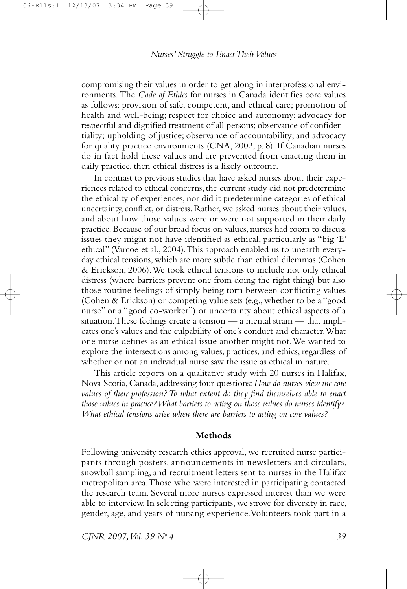compromising their values in order to get along in interprofessional environments. The *Code of Ethics* for nurses in Canada identifies core values as follows: provision of safe, competent, and ethical care; promotion of health and well-being; respect for choice and autonomy; advocacy for respectful and dignified treatment of all persons; observance of confidentiality; upholding of justice; observance of accountability; and advocacy for quality practice environments (CNA, 2002, p. 8). If Canadian nurses do in fact hold these values and are prevented from enacting them in daily practice, then ethical distress is a likely outcome.

In contrast to previous studies that have asked nurses about their experiences related to ethical concerns, the current study did not predetermine the ethicality of experiences, nor did it predetermine categories of ethical uncertainty, conflict, or distress. Rather, we asked nurses about their values, and about how those values were or were not supported in their daily practice.Because of our broad focus on values, nurses had room to discuss issues they might not have identified as ethical, particularly as "big 'E' ethical" (Varcoe et al., 2004).This approach enabled us to unearth everyday ethical tensions, which are more subtle than ethical dilemmas (Cohen & Erickson, 2006).We took ethical tensions to include not only ethical distress (where barriers prevent one from doing the right thing) but also those routine feelings of simply being torn between conflicting values (Cohen & Erickson) or competing value sets (e.g., whether to be a "good nurse" or a "good co-worker") or uncertainty about ethical aspects of a situation.These feelings create a tension — a mental strain — that implicates one's values and the culpability of one's conduct and character.What one nurse defines as an ethical issue another might not.We wanted to explore the intersections among values, practices, and ethics, regardless of whether or not an individual nurse saw the issue as ethical in nature.

This article reports on a qualitative study with 20 nurses in Halifax, Nova Scotia, Canada, addressing four questions: *How do nurses view the core values of their profession?To what extent do they find themselves able to enact those values in practice?What barriers to acting on those values do nurses identify? What ethical tensions arise when there are barriers to acting on core values?*

#### **Methods**

Following university research ethics approval, we recruited nurse participants through posters, announcements in newsletters and circulars, snowball sampling, and recruitment letters sent to nurses in the Halifax metropolitan area.Those who were interested in participating contacted the research team. Several more nurses expressed interest than we were able to interview. In selecting participants, we strove for diversity in race, gender, age, and years of nursing experience.Volunteers took part in a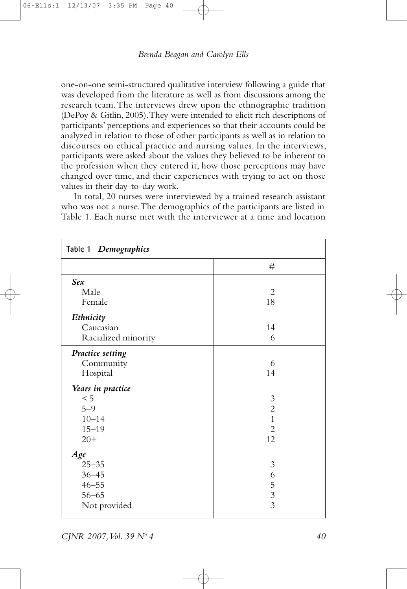one-on-one semi-structured qualitative interview following a guide that was developed from the literature as well as from discussions among the research team.The interviews drew upon the ethnographic tradition (DePoy & Gitlin, 2005).They were intended to elicit rich descriptions of participants' perceptions and experiences so that their accounts could be analyzed in relation to those of other participants as well as in relation to discourses on ethical practice and nursing values. In the interviews, participants were asked about the values they believed to be inherent to the profession when they entered it, how those perceptions may have changed over time, and their experiences with trying to act on those values in their day-to-day work.

In total, 20 nurses were interviewed by a trained research assistant who was not a nurse. The demographics of the participants are listed in Table 1. Each nurse met with the interviewer at a time and location

| Table 1 Demographics    |                |
|-------------------------|----------------|
|                         | #              |
| <b>Sex</b>              |                |
| Male                    | $\overline{2}$ |
| Female                  | 18             |
| Ethnicity               |                |
| Caucasian               | 14             |
| Racialized minority     | 6              |
| <b>Practice setting</b> |                |
| Community               | 6              |
| Hospital                | 14             |
| Years in practice       |                |
| < 5                     | $\mathfrak{Z}$ |
| $5 - 9$                 | $\overline{c}$ |
| $10 - 14$               | $\overline{1}$ |
| $15 - 19$               | $\overline{2}$ |
| $20+$                   | 12             |
| Age                     |                |
| $25 - 35$               | 3              |
| $36 - 45$               | 6              |
| $46 - 55$               |                |
| $56 - 65$               | $\frac{5}{3}$  |
| Not provided            |                |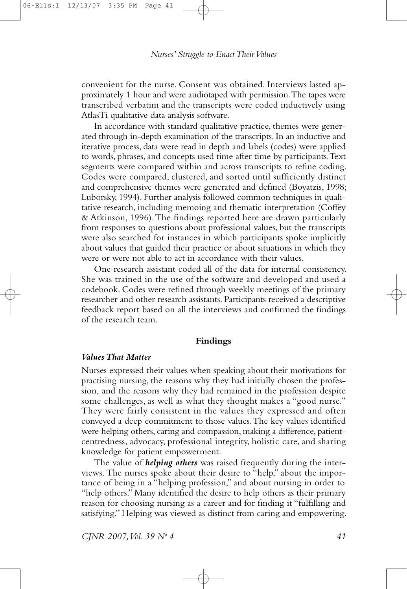convenient for the nurse. Consent was obtained. Interviews lasted approximately 1 hour and were audiotaped with permission.The tapes were transcribed verbatim and the transcripts were coded inductively using AtlasTi qualitative data analysis software.

In accordance with standard qualitative practice, themes were generated through in-depth examination of the transcripts.In an inductive and iterative process, data were read in depth and labels (codes) were applied to words, phrases,and concepts used time after time by participants.Text segments were compared within and across transcripts to refine coding. Codes were compared, clustered, and sorted until sufficiently distinct and comprehensive themes were generated and defined (Boyatzis, 1998; Luborsky, 1994). Further analysis followed common techniques in qualitative research, including memoing and thematic interpretation (Coffey & Atkinson, 1996).The findings reported here are drawn particularly from responses to questions about professional values, but the transcripts were also searched for instances in which participants spoke implicitly about values that guided their practice or about situations in which they were or were not able to act in accordance with their values.

One research assistant coded all of the data for internal consistency. She was trained in the use of the software and developed and used a codebook. Codes were refined through weekly meetings of the primary researcher and other research assistants. Participants received a descriptive feedback report based on all the interviews and confirmed the findings of the research team.

#### **Findings**

#### *ValuesThat Matter*

Nurses expressed their values when speaking about their motivations for practising nursing, the reasons why they had initially chosen the profession, and the reasons why they had remained in the profession despite some challenges, as well as what they thought makes a "good nurse." They were fairly consistent in the values they expressed and often conveyed a deep commitment to those values.The key values identified were helping others, caring and compassion, making a difference, patientcentredness, advocacy, professional integrity, holistic care, and sharing knowledge for patient empowerment.

The value of *helping others* was raised frequently during the interviews. The nurses spoke about their desire to "help," about the importance of being in a "helping profession," and about nursing in order to "help others." Many identified the desire to help others as their primary reason for choosing nursing as a career and for finding it "fulfilling and satisfying." Helping was viewed as distinct from caring and empowering.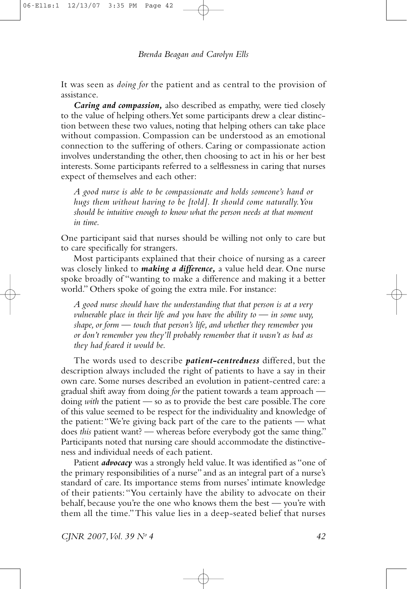It was seen as *doing for* the patient and as central to the provision of assistance.

*Caring and compassion,* also described as empathy, were tied closely to the value of helping others.Yet some participants drew a clear distinction between these two values, noting that helping others can take place without compassion. Compassion can be understood as an emotional connection to the suffering of others. Caring or compassionate action involves understanding the other, then choosing to act in his or her best interests. Some participants referred to a selflessness in caring that nurses expect of themselves and each other:

*A good nurse is able to be compassionate and holds someone's hand or hugs them without having to be [told]. It should come naturally.You should be intuitive enough to know what the person needs at that moment in time.*

One participant said that nurses should be willing not only to care but to care specifically for strangers.

Most participants explained that their choice of nursing as a career was closely linked to *making a difference,* a value held dear. One nurse spoke broadly of "wanting to make a difference and making it a better world." Others spoke of going the extra mile. For instance:

*A good nurse should have the understanding that that person is at a very vulnerable place in their life and you have the ability to — in some way, shape,or form — touch that person's life, and whether they remember you or don't remember you they'll probably remember that it wasn't as bad as they had feared it would be.*

The words used to describe *patient-centredness* differed, but the description always included the right of patients to have a say in their own care. Some nurses described an evolution in patient-centred care: a gradual shift away from doing *for* the patient towards a team approach doing *with* the patient — so as to provide the best care possible.The core of this value seemed to be respect for the individuality and knowledge of the patient:"We're giving back part of the care to the patients — what does *this* patient want? — whereas before everybody got the same thing." Participants noted that nursing care should accommodate the distinctiveness and individual needs of each patient.

Patient *advocacy* was a strongly held value. It was identified as "one of the primary responsibilities of a nurse" and as an integral part of a nurse's standard of care. Its importance stems from nurses' intimate knowledge of their patients: "You certainly have the ability to advocate on their behalf, because you're the one who knows them the best — you're with them all the time."This value lies in a deep-seated belief that nurses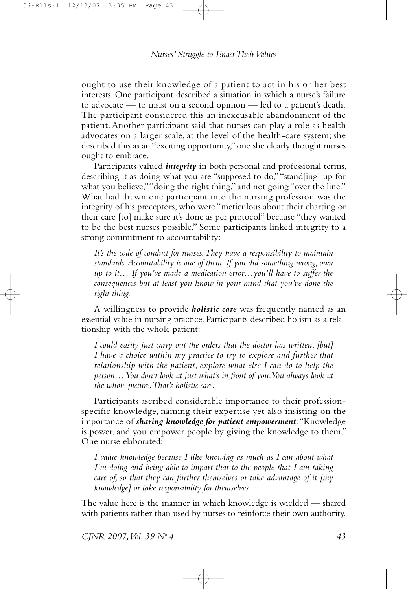ought to use their knowledge of a patient to act in his or her best interests. One participant described a situation in which a nurse's failure to advocate — to insist on a second opinion — led to a patient's death. The participant considered this an inexcusable abandonment of the patient.Another participant said that nurses can play a role as health advocates on a larger scale, at the level of the health-care system; she described this as an "exciting opportunity," one she clearly thought nurses ought to embrace.

Participants valued *integrity* in both personal and professional terms, describing it as doing what you are "supposed to do,""stand[ing] up for what you believe," "doing the right thing," and not going "over the line." What had drawn one participant into the nursing profession was the integrity of his preceptors, who were "meticulous about their charting or their care [to] make sure it's done as per protocol" because "they wanted to be the best nurses possible." Some participants linked integrity to a strong commitment to accountability:

*It's the code of conduct for nurses.They have a responsibility to maintain standards.Accountability is one of them. If you did something wrong,own up to it… If you've made a medication error…you'll have to suffer the consequences but at least you know in your mind that you've done the right thing.*

A willingness to provide *holistic care* was frequently named as an essential value in nursing practice. Participants described holism as a relationship with the whole patient:

*I could easily just carry out the orders that the doctor has written, [but] I have a choice within my practice to try to explore and further that relationship with the patient, explore what else I can do to help the person…You don't look at just what's in front of you.You always look at the whole picture.That's holistic care.*

Participants ascribed considerable importance to their professionspecific knowledge, naming their expertise yet also insisting on the importance of *sharing knowledge for patient empowerment*:"Knowledge is power, and you empower people by giving the knowledge to them." One nurse elaborated:

*I value knowledge because I like knowing as much as I can about what I'm doing and being able to impart that to the people that I am taking care of, so that they can further themselves or take advantage of it [my knowledge] or take responsibility for themselves.*

The value here is the manner in which knowledge is wielded — shared with patients rather than used by nurses to reinforce their own authority.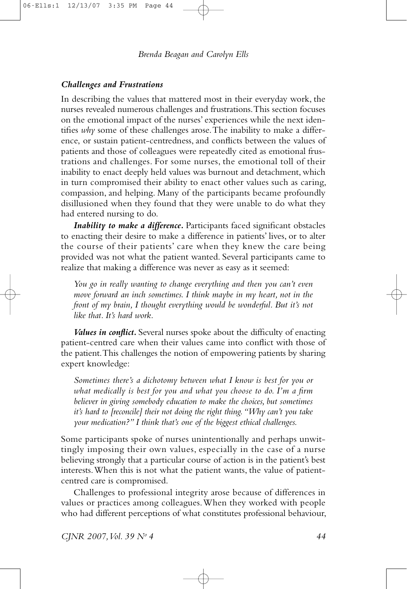# *Challenges and Frustrations*

In describing the values that mattered most in their everyday work, the nurses revealed numerous challenges and frustrations.This section focuses on the emotional impact of the nurses' experiences while the next identifies *why* some of these challenges arose.The inability to make a difference, or sustain patient-centredness, and conflicts between the values of patients and those of colleagues were repeatedly cited as emotional frustrations and challenges. For some nurses, the emotional toll of their inability to enact deeply held values was burnout and detachment, which in turn compromised their ability to enact other values such as caring, compassion, and helping. Many of the participants became profoundly disillusioned when they found that they were unable to do what they had entered nursing to do.

*Inability to make a difference.* Participants faced significant obstacles to enacting their desire to make a difference in patients' lives, or to alter the course of their patients' care when they knew the care being provided was not what the patient wanted. Several participants came to realize that making a difference was never as easy as it seemed:

*You go in really wanting to change everything and then you can't even move forward an inch sometimes. I think maybe in my heart, not in the front of my brain, I thought everything would be wonderful. But it's not like that. It's hard work.*

*Values in conflict.* Several nurses spoke about the difficulty of enacting patient-centred care when their values came into conflict with those of the patient.This challenges the notion of empowering patients by sharing expert knowledge:

*Sometimes there's a dichotomy between what I know is best for you or what medically is best for you and what you choose to do. I'm a firm believer in giving somebody education to make the choices, but sometimes it's hard to [reconcile] their not doing the right thing."Why can't you take your medication?" I think that's one of the biggest ethical challenges.*

Some participants spoke of nurses unintentionally and perhaps unwittingly imposing their own values, especially in the case of a nurse believing strongly that a particular course of action is in the patient's best interests.When this is not what the patient wants, the value of patientcentred care is compromised.

Challenges to professional integrity arose because of differences in values or practices among colleagues.When they worked with people who had different perceptions of what constitutes professional behaviour,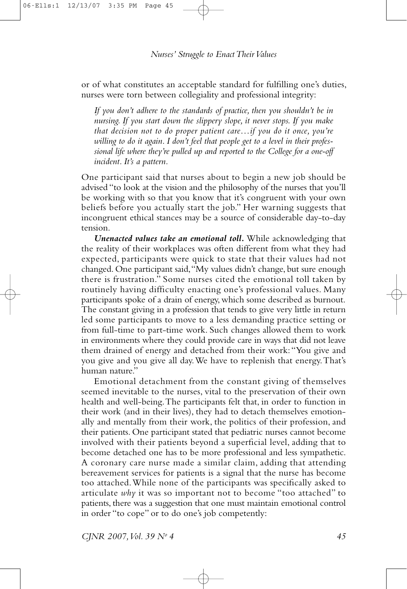or of what constitutes an acceptable standard for fulfilling one's duties, nurses were torn between collegiality and professional integrity:

*If you don't adhere to the standards of practice, then you shouldn't be in nursing. If you start down the slippery slope, it never stops. If you make that decision not to do proper patient care…if you do it once, you're willing to do it again. I don't feel that people get to a level in their professional life where they're pulled up and reported to the College for a one-off incident. It's a pattern.*

One participant said that nurses about to begin a new job should be advised "to look at the vision and the philosophy of the nurses that you'll be working with so that you know that it's congruent with your own beliefs before you actually start the job." Her warning suggests that incongruent ethical stances may be a source of considerable day-to-day tension.

*Unenacted values take an emotional toll.* While acknowledging that the reality of their workplaces was often different from what they had expected, participants were quick to state that their values had not changed. One participant said,"My values didn't change, but sure enough there is frustration." Some nurses cited the emotional toll taken by routinely having difficulty enacting one's professional values. Many participants spoke of a drain of energy, which some described as burnout. The constant giving in a profession that tends to give very little in return led some participants to move to a less demanding practice setting or from full-time to part-time work. Such changes allowed them to work in environments where they could provide care in ways that did not leave them drained of energy and detached from their work:"You give and you give and you give all day.We have to replenish that energy.That's human nature."

Emotional detachment from the constant giving of themselves seemed inevitable to the nurses, vital to the preservation of their own health and well-being.The participants felt that, in order to function in their work (and in their lives), they had to detach themselves emotionally and mentally from their work, the politics of their profession, and their patients. One participant stated that pediatric nurses cannot become involved with their patients beyond a superficial level, adding that to become detached one has to be more professional and less sympathetic. A coronary care nurse made a similar claim, adding that attending bereavement services for patients is a signal that the nurse has become too attached.While none of the participants was specifically asked to articulate *why* it was so important not to become "too attached" to patients, there was a suggestion that one must maintain emotional control in order "to cope" or to do one's job competently: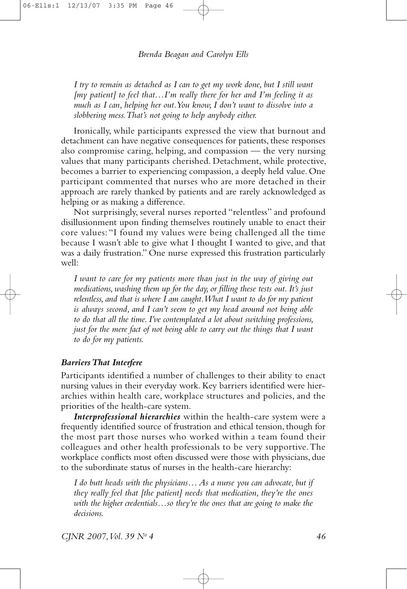*I try to remain as detached as I can to get my work done, but I still want [my patient] to feel that…I'm really there for her and I'm feeling it as much as I can, helping her out.You know, I don't want to dissolve into a slobbering mess.That's not going to help anybody either.*

Ironically, while participants expressed the view that burnout and detachment can have negative consequences for patients, these responses also compromise caring, helping, and compassion — the very nursing values that many participants cherished. Detachment, while protective, becomes a barrier to experiencing compassion, a deeply held value. One participant commented that nurses who are more detached in their approach are rarely thanked by patients and are rarely acknowledged as helping or as making a difference.

Not surprisingly, several nurses reported "relentless" and profound disillusionment upon finding themselves routinely unable to enact their core values: "I found my values were being challenged all the time because I wasn't able to give what I thought I wanted to give, and that was a daily frustration." One nurse expressed this frustration particularly well:

*I want to care for my patients more than just in the way of giving out medications, washing them up for the day,or filling these tests out. It's just relentless, and that is where I am caught.What I want to do for my patient is always second, and I can't seem to get my head around not being able to do that all the time. I've contemplated a lot about switching professions, just for the mere fact of not being able to carry out the things that I want to do for my patients.*

#### *BarriersThat Interfere*

Participants identified a number of challenges to their ability to enact nursing values in their everyday work.Key barriers identified were hierarchies within health care, workplace structures and policies, and the priorities of the health-care system.

*Interprofessional hierarchies* within the health-care system were a frequently identified source of frustration and ethical tension, though for the most part those nurses who worked within a team found their colleagues and other health professionals to be very supportive.The workplace conflicts most often discussed were those with physicians, due to the subordinate status of nurses in the health-care hierarchy:

*I do butt heads with the physicians… As a nurse you can advocate, but if they really feel that [the patient] needs that medication, they're the ones with the higher credentials…so they're the ones that are going to make the decisions.*

*CJNR 2007,Vol. 39 No 4 46*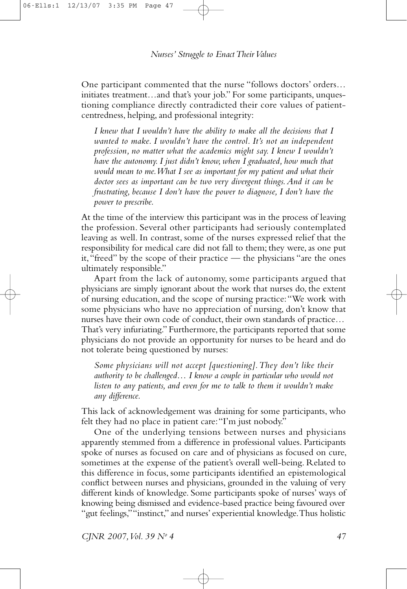One participant commented that the nurse "follows doctors' orders… initiates treatment…and that's your job." For some participants, unquestioning compliance directly contradicted their core values of patientcentredness, helping,and professional integrity:

*I knew that I wouldn't have the ability to make all the decisions that I wanted to make. I wouldn't have the control. It's not an independent profession, no matter what the academics might say. I knew I wouldn't have the autonomy. I just didn't know, when I graduated, how much that would mean to me.What I see as important for my patient and what their doctor sees as important can be two very divergent things.And it can be frustrating, because I don't have the power to diagnose, I don't have the power to prescribe.*

At the time of the interview this participant was in the process of leaving the profession. Several other participants had seriously contemplated leaving as well. In contrast, some of the nurses expressed relief that the responsibility for medical care did not fall to them; they were, as one put it,"freed" by the scope of their practice — the physicians "are the ones ultimately responsible."

Apart from the lack of autonomy, some participants argued that physicians are simply ignorant about the work that nurses do, the extent of nursing education,and the scope of nursing practice:"We work with some physicians who have no appreciation of nursing, don't know that nurses have their own code of conduct, their own standards of practice… That's very infuriating." Furthermore, the participants reported that some physicians do not provide an opportunity for nurses to be heard and do not tolerate being questioned by nurses:

*Some physicians will not accept [questioning].They don't like their authority to be challenged… I know a couple in particular who would not listen to any patients, and even for me to talk to them it wouldn't make any difference.*

This lack of acknowledgement was draining for some participants, who felt they had no place in patient care:"I'm just nobody."

One of the underlying tensions between nurses and physicians apparently stemmed from a difference in professional values. Participants spoke of nurses as focused on care and of physicians as focused on cure, sometimes at the expense of the patient's overall well-being. Related to this difference in focus, some participants identified an epistemological conflict between nurses and physicians, grounded in the valuing of very different kinds of knowledge. Some participants spoke of nurses' ways of knowing being dismissed and evidence-based practice being favoured over "gut feelings,""instinct," and nurses' experiential knowledge.Thus holistic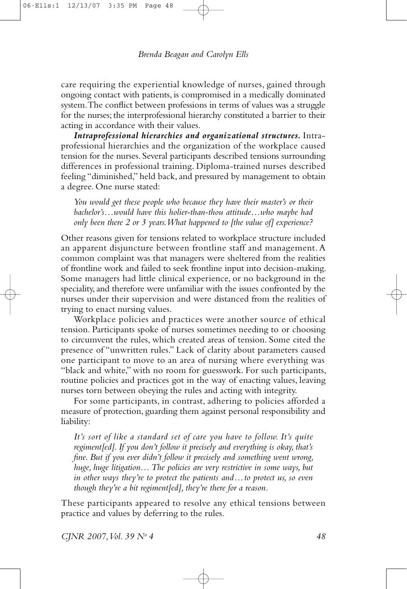care requiring the experiential knowledge of nurses, gained through ongoing contact with patients, is compromised in a medically dominated system.The conflict between professions in terms of values was a struggle for the nurses; the interprofessional hierarchy constituted a barrier to their acting in accordance with their values.

*Intraprofessional hierarchies and organizational structures.* Intraprofessional hierarchies and the organization of the workplace caused tension for the nurses. Several participants described tensions surrounding differences in professional training. Diploma-trained nurses described feeling "diminished," held back, and pressured by management to obtain a degree. One nurse stated:

*You would get these people who because they have their master's or their bachelor's…would have this holier-than-thou attitude…who maybe had only been there 2 or 3 years.What happened to [the value of] experience?*

Other reasons given for tensions related to workplace structure included an apparent disjuncture between frontline staff and management.A common complaint was that managers were sheltered from the realities of frontline work and failed to seek frontline input into decision-making. Some managers had little clinical experience, or no background in the speciality, and therefore were unfamiliar with the issues confronted by the nurses under their supervision and were distanced from the realities of trying to enact nursing values.

Workplace policies and practices were another source of ethical tension. Participants spoke of nurses sometimes needing to or choosing to circumvent the rules, which created areas of tension. Some cited the presence of "unwritten rules." Lack of clarity about parameters caused one participant to move to an area of nursing where everything was "black and white," with no room for guesswork. For such participants, routine policies and practices got in the way of enacting values, leaving nurses torn between obeying the rules and acting with integrity.

For some participants, in contrast, adhering to policies afforded a measure of protection, guarding them against personal responsibility and liability:

*It's sort of like a standard set of care you have to follow. It's quite regiment[ed]. If you don't follow it precisely and everything is okay, that's fine. But if you ever didn't follow it precisely and something went wrong, huge, huge litigation…The policies are very restrictive in some ways, but in other ways they're to protect the patients and…to protect us, so even though they're a bit regiment[ed], they're there for a reason.*

These participants appeared to resolve any ethical tensions between practice and values by deferring to the rules.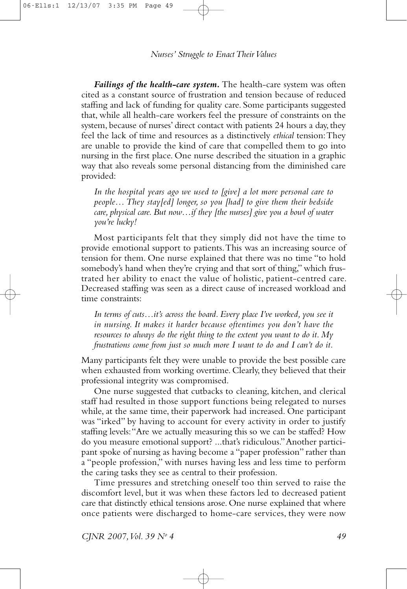*Failings of the health-care system.* The health-care system was often cited as a constant source of frustration and tension because of reduced staffing and lack of funding for quality care. Some participants suggested that, while all health-care workers feel the pressure of constraints on the system, because of nurses' direct contact with patients 24 hours a day, they feel the lack of time and resources as a distinctively *ethical* tension:They are unable to provide the kind of care that compelled them to go into nursing in the first place. One nurse described the situation in a graphic way that also reveals some personal distancing from the diminished care provided:

*In the hospital years ago we used to [give] a lot more personal care to people… They stay[ed] longer, so you [had] to give them their bedside care, physical care. But now…if they [the nurses] give you a bowl of water you're lucky!*

Most participants felt that they simply did not have the time to provide emotional support to patients.This was an increasing source of tension for them. One nurse explained that there was no time "to hold somebody's hand when they're crying and that sort of thing," which frustrated her ability to enact the value of holistic, patient-centred care. Decreased staffing was seen as a direct cause of increased workload and time constraints:

*In terms of cuts…it's across the board. Every place I've worked, you see it in nursing. It makes it harder because oftentimes you don't have the resources to always do the right thing to the extent you want to do it. My frustrations come from just so much more I want to do and I can't do it.*

Many participants felt they were unable to provide the best possible care when exhausted from working overtime. Clearly, they believed that their professional integrity was compromised.

One nurse suggested that cutbacks to cleaning, kitchen, and clerical staff had resulted in those support functions being relegated to nurses while, at the same time, their paperwork had increased. One participant was "irked" by having to account for every activity in order to justify staffing levels:"Are we actually measuring this so we can be staffed? How do you measure emotional support? ...that's ridiculous."Another participant spoke of nursing as having become a "paper profession" rather than a "people profession," with nurses having less and less time to perform the caring tasks they see as central to their profession.

Time pressures and stretching oneself too thin served to raise the discomfort level, but it was when these factors led to decreased patient care that distinctly ethical tensions arose. One nurse explained that where once patients were discharged to home-care services, they were now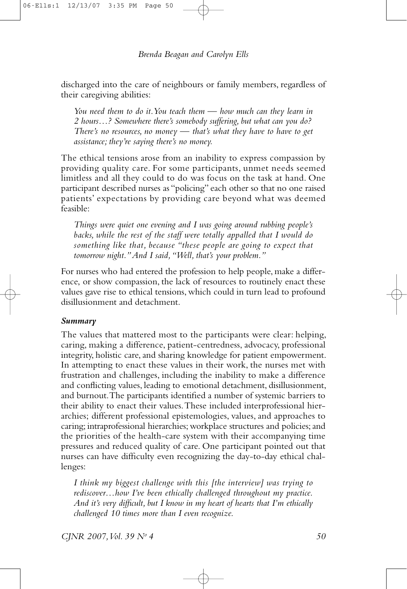discharged into the care of neighbours or family members, regardless of their caregiving abilities:

*You need them to do it.You teach them — how much can they learn in 2 hours…? Somewhere there's somebody suffering, but what can you do? There's no resources, no money — that's what they have to have to get assistance; they're saying there's no money.*

The ethical tensions arose from an inability to express compassion by providing quality care. For some participants, unmet needs seemed limitless and all they could to do was focus on the task at hand. One participant described nurses as "policing" each other so that no one raised patients' expectations by providing care beyond what was deemed feasible:

*Things were quiet one evening and I was going around rubbing people's backs, while the rest of the staff were totally appalled that I would do something like that, because "these people are going to expect that tomorrow night."And I said,"Well, that's your problem."*

For nurses who had entered the profession to help people, make a difference, or show compassion, the lack of resources to routinely enact these values gave rise to ethical tensions, which could in turn lead to profound disillusionment and detachment.

### *Summary*

The values that mattered most to the participants were clear: helping, caring, making a difference, patient-centredness, advocacy, professional integrity, holistic care, and sharing knowledge for patient empowerment. In attempting to enact these values in their work, the nurses met with frustration and challenges, including the inability to make a difference and conflicting values, leading to emotional detachment, disillusionment, and burnout.The participants identified a number of systemic barriers to their ability to enact their values.These included interprofessional hierarchies; different professional epistemologies, values, and approaches to caring; intraprofessional hierarchies; workplace structures and policies; and the priorities of the health-care system with their accompanying time pressures and reduced quality of care. One participant pointed out that nurses can have difficulty even recognizing the day-to-day ethical challenges:

*I think my biggest challenge with this [the interview] was trying to rediscover…how I've been ethically challenged throughout my practice. And it's very difficult, but I know in my heart of hearts that I'm ethically challenged 10 times more than I even recognize.*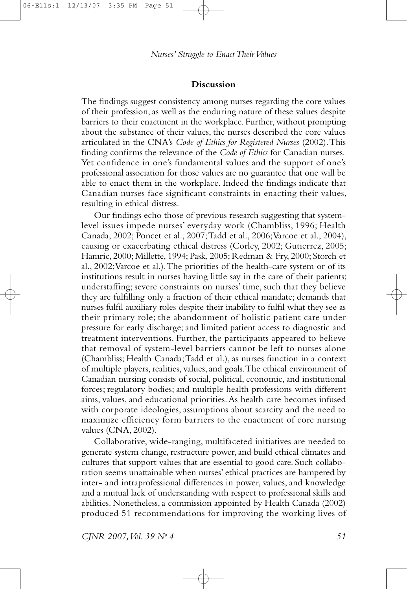#### **Discussion**

The findings suggest consistency among nurses regarding the core values of their profession,as well as the enduring nature of these values despite barriers to their enactment in the workplace. Further, without prompting about the substance of their values, the nurses described the core values articulated in the CNA's *Code of Ethics for Registered Nurses* (2002).This finding confirms the relevance of the *Code of Ethics* for Canadian nurses. Yet confidence in one's fundamental values and the support of one's professional association for those values are no guarantee that one will be able to enact them in the workplace. Indeed the findings indicate that Canadian nurses face significant constraints in enacting their values, resulting in ethical distress.

Our findings echo those of previous research suggesting that systemlevel issues impede nurses' everyday work (Chambliss, 1996; Health Canada, 2002; Poncet et al., 2007;Tadd et al., 2006;Varcoe et al., 2004), causing or exacerbating ethical distress (Corley, 2002; Gutierrez, 2005; Hamric, 2000; Millette, 1994; Pask, 2005; Redman & Fry, 2000; Storch et al., 2002;Varcoe et al.).The priorities of the health-care system or of its institutions result in nurses having little say in the care of their patients; understaffing; severe constraints on nurses' time, such that they believe they are fulfilling only a fraction of their ethical mandate; demands that nurses fulfil auxiliary roles despite their inability to fulfil what they see as their primary role; the abandonment of holistic patient care under pressure for early discharge; and limited patient access to diagnostic and treatment interventions. Further, the participants appeared to believe that removal of system-level barriers cannot be left to nurses alone (Chambliss; Health Canada;Tadd et al.), as nurses function in a context of multiple players, realities, values,and goals.The ethical environment of Canadian nursing consists of social, political, economic, and institutional forces; regulatory bodies; and multiple health professions with different aims, values, and educational priorities.As health care becomes infused with corporate ideologies, assumptions about scarcity and the need to maximize efficiency form barriers to the enactment of core nursing values (CNA, 2002).

Collaborative, wide-ranging, multifaceted initiatives are needed to generate system change, restructure power,and build ethical climates and cultures that support values that are essential to good care. Such collaboration seems unattainable when nurses' ethical practices are hampered by inter- and intraprofessional differences in power, values, and knowledge and a mutual lack of understanding with respect to professional skills and abilities. Nonetheless, a commission appointed by Health Canada (2002) produced 51 recommendations for improving the working lives of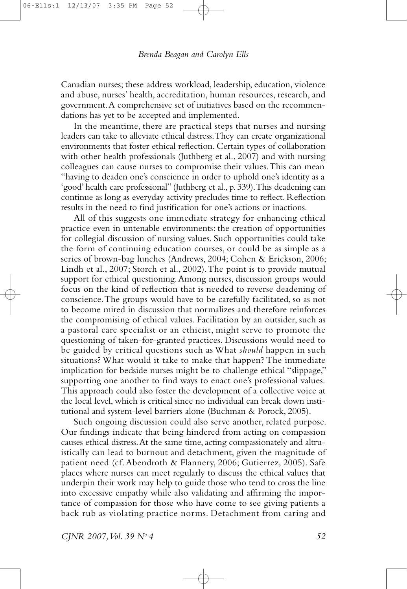Canadian nurses; these address workload, leadership, education, violence and abuse, nurses' health, accreditation, human resources, research, and government.A comprehensive set of initiatives based on the recommendations has yet to be accepted and implemented.

In the meantime, there are practical steps that nurses and nursing leaders can take to alleviate ethical distress.They can create organizational environments that foster ethical reflection. Certain types of collaboration with other health professionals (Juthberg et al., 2007) and with nursing colleagues can cause nurses to compromise their values.This can mean "having to deaden one's conscience in order to uphold one's identity as a 'good' health care professional" (Juthberg et al., p. 339).This deadening can continue as long as everyday activity precludes time to reflect. Reflection results in the need to find justification for one's actions or inactions.

All of this suggests one immediate strategy for enhancing ethical practice even in untenable environments: the creation of opportunities for collegial discussion of nursing values. Such opportunities could take the form of continuing education courses, or could be as simple as a series of brown-bag lunches (Andrews, 2004; Cohen & Erickson, 2006; Lindh et al., 2007; Storch et al., 2002).The point is to provide mutual support for ethical questioning.Among nurses, discussion groups would focus on the kind of reflection that is needed to reverse deadening of conscience.The groups would have to be carefully facilitated, so as not to become mired in discussion that normalizes and therefore reinforces the compromising of ethical values. Facilitation by an outsider, such as a pastoral care specialist or an ethicist, might serve to promote the questioning of taken-for-granted practices. Discussions would need to be guided by critical questions such as What *should* happen in such situations? What would it take to make that happen? The immediate implication for bedside nurses might be to challenge ethical "slippage," supporting one another to find ways to enact one's professional values. This approach could also foster the development of a collective voice at the local level, which is critical since no individual can break down institutional and system-level barriers alone (Buchman & Porock, 2005).

Such ongoing discussion could also serve another, related purpose. Our findings indicate that being hindered from acting on compassion causes ethical distress. At the same time, acting compassionately and altruistically can lead to burnout and detachment, given the magnitude of patient need (cf.Abendroth & Flannery, 2006; Gutierrez, 2005). Safe places where nurses can meet regularly to discuss the ethical values that underpin their work may help to guide those who tend to cross the line into excessive empathy while also validating and affirming the importance of compassion for those who have come to see giving patients a back rub as violating practice norms. Detachment from caring and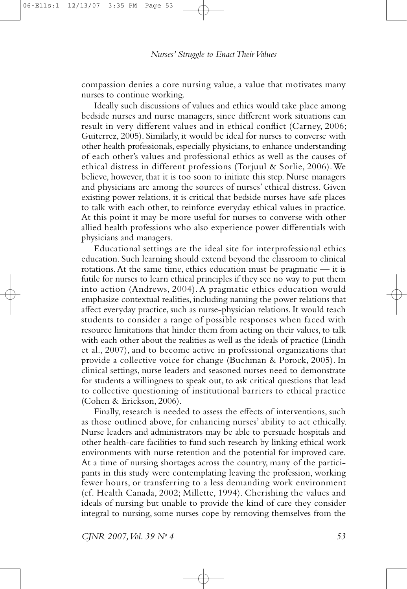compassion denies a core nursing value, a value that motivates many nurses to continue working.

Ideally such discussions of values and ethics would take place among bedside nurses and nurse managers, since different work situations can result in very different values and in ethical conflict (Carney, 2006; Guiterrez, 2005). Similarly, it would be ideal for nurses to converse with other health professionals, especially physicians, to enhance understanding of each other's values and professional ethics as well as the causes of ethical distress in different professions (Torjuul & Sorlie, 2006).We believe, however, that it is too soon to initiate this step. Nurse managers and physicians are among the sources of nurses' ethical distress. Given existing power relations, it is critical that bedside nurses have safe places to talk with each other, to reinforce everyday ethical values in practice. At this point it may be more useful for nurses to converse with other allied health professions who also experience power differentials with physicians and managers.

Educational settings are the ideal site for interprofessional ethics education. Such learning should extend beyond the classroom to clinical rotations.At the same time, ethics education must be pragmatic — it is futile for nurses to learn ethical principles if they see no way to put them into action (Andrews, 2004). A pragmatic ethics education would emphasize contextual realities, including naming the power relations that affect everyday practice, such as nurse-physician relations. It would teach students to consider a range of possible responses when faced with resource limitations that hinder them from acting on their values, to talk with each other about the realities as well as the ideals of practice (Lindh et al., 2007), and to become active in professional organizations that provide a collective voice for change (Buchman & Porock, 2005). In clinical settings, nurse leaders and seasoned nurses need to demonstrate for students a willingness to speak out, to ask critical questions that lead to collective questioning of institutional barriers to ethical practice (Cohen & Erickson, 2006).

Finally, research is needed to assess the effects of interventions, such as those outlined above, for enhancing nurses' ability to act ethically. Nurse leaders and administrators may be able to persuade hospitals and other health-care facilities to fund such research by linking ethical work environments with nurse retention and the potential for improved care. At a time of nursing shortages across the country, many of the participants in this study were contemplating leaving the profession, working fewer hours, or transferring to a less demanding work environment (cf. Health Canada, 2002; Millette, 1994). Cherishing the values and ideals of nursing but unable to provide the kind of care they consider integral to nursing, some nurses cope by removing themselves from the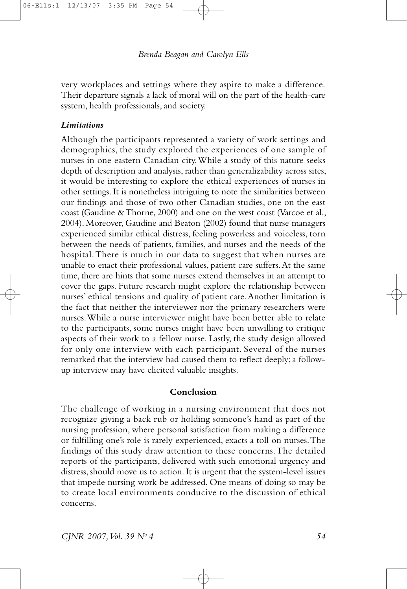very workplaces and settings where they aspire to make a difference. Their departure signals a lack of moral will on the part of the health-care system, health professionals, and society.

## *Limitations*

Although the participants represented a variety of work settings and demographics, the study explored the experiences of one sample of nurses in one eastern Canadian city.While a study of this nature seeks depth of description and analysis, rather than generalizability across sites, it would be interesting to explore the ethical experiences of nurses in other settings.It is nonetheless intriguing to note the similarities between our findings and those of two other Canadian studies, one on the east coast (Gaudine &Thorne, 2000) and one on the west coast (Varcoe et al., 2004). Moreover, Gaudine and Beaton (2002) found that nurse managers experienced similar ethical distress, feeling powerless and voiceless, torn between the needs of patients, families, and nurses and the needs of the hospital.There is much in our data to suggest that when nurses are unable to enact their professional values, patient care suffers.At the same time, there are hints that some nurses extend themselves in an attempt to cover the gaps. Future research might explore the relationship between nurses' ethical tensions and quality of patient care.Another limitation is the fact that neither the interviewer nor the primary researchers were nurses.While a nurse interviewer might have been better able to relate to the participants, some nurses might have been unwilling to critique aspects of their work to a fellow nurse. Lastly, the study design allowed for only one interview with each participant. Several of the nurses remarked that the interview had caused them to reflect deeply; a followup interview may have elicited valuable insights.

#### **Conclusion**

The challenge of working in a nursing environment that does not recognize giving a back rub or holding someone's hand as part of the nursing profession, where personal satisfaction from making a difference or fulfilling one's role is rarely experienced, exacts a toll on nurses.The findings of this study draw attention to these concerns.The detailed reports of the participants, delivered with such emotional urgency and distress, should move us to action. It is urgent that the system-level issues that impede nursing work be addressed. One means of doing so may be to create local environments conducive to the discussion of ethical concerns.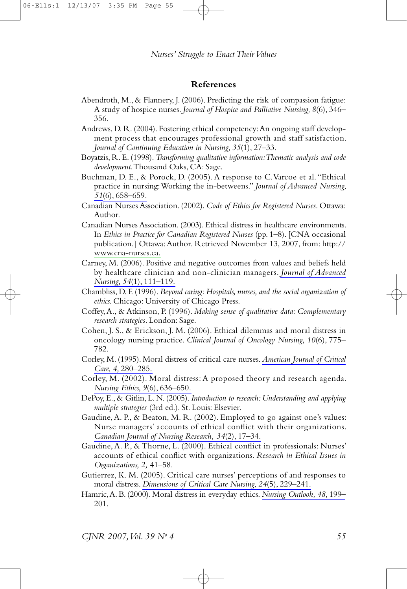#### **References**

- Abendroth, M., & Flannery, J. (2006). Predicting the risk of compassion fatigue: A study of hospice nurses. *Journal of Hospice and Palliative Nursing, 8*(6), 346– 356.
- Andrews, D. R. (2004). Fostering ethical competency:An ongoing staff development process that encourages professional growth and staff satisfaction. *Journal of [Continuing](http://www.ingentaconnect.com/content/external-references?article=0022-0124()35:1L.27[aid=8147560]) Education in Nursing, 35*(1), 27–33.
- Boyatzis, R. E. (1998).*Transforming qualitative information:Thematic analysis and code development*.Thousand Oaks, CA: Sage.
- Buchman, D. E., & Porock, D. (2005).A response to C.Varcoe et al. "Ethical practice in nursing:Working the in-betweens." *Journal of [Advanced](http://www.ingentaconnect.com/content/external-references?article=0309-2402()51:6L.658[aid=8147563]) Nursing, [51](http://www.ingentaconnect.com/content/external-references?article=0309-2402()51:6L.658[aid=8147563])*(6), [658–659.](http://www.ingentaconnect.com/content/external-references?article=0309-2402()51:6L.658[aid=8147563])
- Canadian Nurses Association. (2002). *Code of Ethics for Registered Nurses*. Ottawa: Author.
- Canadian Nurses Association. (2003). Ethical distress in healthcare environments. In *Ethics in Practice for Canadian Registered Nurses* (pp. 1–8). [CNA occasional publication.] Ottawa:Author. Retrieved November 13, 2007, from: http:// [www.cna-nurses.ca.](http://www.cna-nurses.ca)
- Carney, M. (2006). Positive and negative outcomes from values and beliefs held by healthcare clinician and non-clinician managers. *Journal of [Advanced](http://www.ingentaconnect.com/content/external-references?article=0309-2402()54:1L.111[aid=8147559]) Nursing, 54*(1), [111–119.](http://www.ingentaconnect.com/content/external-references?article=0309-2402()54:1L.111[aid=8147559])
- Chambliss, D. F. (1996). *Beyond caring: Hospitals, nurses, and the social organization of ethics.* Chicago: University of Chicago Press.
- Coffey,A., & Atkinson, P. (1996). *Making sense of qualitative data: Complementary research strategies*. London: Sage.
- Cohen, J. S., & Erickson, J. M. (2006). Ethical dilemmas and moral distress in oncology nursing practice. *Clinical Journal of [Oncology](http://www.ingentaconnect.com/content/external-references?article=1092-1095()10:6L.775[aid=8147558]) Nursing, 10*(6), 775– 782.
- Corley, M. (1995). Moral distress of critical care nurses.*[American](http://www.ingentaconnect.com/content/external-references?article=1062-3264()4L.280[aid=6077973]) Journal of Critical Care, 4,* [280–285.](http://www.ingentaconnect.com/content/external-references?article=1062-3264()4L.280[aid=6077973])
- Corley, M. (2002). Moral distress:A proposed theory and research agenda. *Nursing Ethics, 9*(6), [636–650.](http://www.ingentaconnect.com/content/external-references?article=0969-7330()9:6L.636[aid=8147557])
- DePoy, E., & Gitlin, L. N. (2005). *Introduction to research: Understanding and applying multiple strategies* (3rd ed.). St. Louis: Elsevier.
- Gaudine,A. P., & Beaton, M. R. (2002). Employed to go against one's values: Nurse managers' accounts of ethical conflict with their organizations. *[Canadian](http://www.ingentaconnect.com/content/external-references?article=0844-5621()34:2L.17[aid=8147556]) Journal of Nursing Research, 34*(2), 17–34.
- Gaudine,A. P., & Thorne, L. (2000). Ethical conflict in professionals: Nurses' accounts of ethical conflict with organizations. *Research in Ethical Issues in Organizations, 2,* 41–58.
- Gutierrez, K. M. (2005). Critical care nurses' perceptions of and responses to moral distress. *[Dimensions](http://www.ingentaconnect.com/content/external-references?article=0730-4625()24:5L.229[aid=8147555]) of Critical Care Nursing, 24*(5), 229–241.
- Hamric,A. B. (2000). Moral distress in everyday ethics. *Nursing [Outlook,](http://www.ingentaconnect.com/content/external-references?article=0029-6554()48L.199[aid=8147562]) 48,* 199– 201.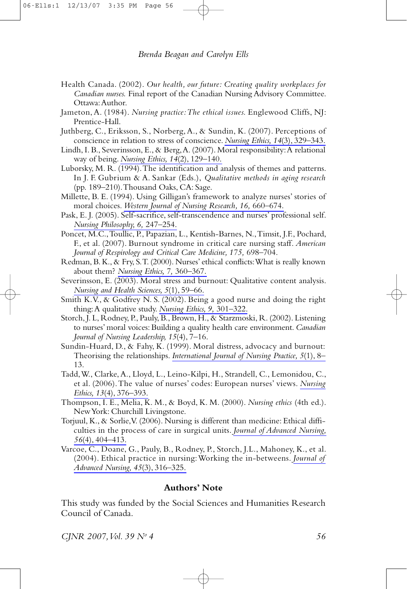- Health Canada. (2002). *Our health, our future: Creating quality workplaces for Canadian nurses.* Final report of the Canadian Nursing Advisory Committee. Ottawa:Author.
- Jameton,A. (1984). *Nursing practice:The ethical issues.* Englewood Cliffs, NJ: Prentice-Hall.
- Juthberg, C., Eriksson, S., Norberg,A., & Sundin, K. (2007). Perceptions of conscience in relation to stress of conscience. *Nursing Ethics, 14*(3), [329–343.](http://www.ingentaconnect.com/content/external-references?article=0969-7330()14:3L.329[aid=8147570])
- Lindh, I. B., Severinsson, E., & Berg,A. (2007). Moral responsibility:A relational way of being. *Nursing Ethics, 14*(2), [129–140.](http://www.ingentaconnect.com/content/external-references?article=0969-7330()14:2L.129[aid=8147569])
- Luborsky, M. R. (1994).The identification and analysis of themes and patterns. In J. F. Gubrium & A. Sankar (Eds.), *Qualitative methods in aging research* (pp. 189–210).Thousand Oaks, CA: Sage.
- Millette, B. E. (1994). Using Gilligan's framework to analyze nurses' stories of moral choices. *Western Journal of Nursing Research, 16,* [660–674.](http://www.ingentaconnect.com/content/external-references?article=0193-9459()16L.660[aid=8147574])
- Pask, E. J. (2005). Self-sacrifice, self-transcendence and nurses' professional self. *Nursing [Philosophy,](http://www.ingentaconnect.com/content/external-references?article=1466-7681()6L.247[aid=8147573]) 6,* 247–254.
- Poncet, M.C.,Toullic, P., Papazian, L., Kentish-Barnes, N.,Timsit, J.F., Pochard, F., et al. (2007). Burnout syndrome in critical care nursing staff. *American Journal of Respirology and Critical Care Medicine, 175,* 698–704.
- Redman, B.K., & Fry, S.T. (2000). Nurses' ethical conflicts:What is really known about them? *Nursing Ethics, 7,* [360–367.](http://www.ingentaconnect.com/content/external-references?article=0969-7330()7L.360[aid=8147571])
- Severinsson, E. (2003). Moral stress and burnout: Qualitative content analysis. *Nursing and Health [Sciences,](http://www.ingentaconnect.com/content/external-references?article=1441-0745()5:1L.59[aid=8147568]) 5*(1), 59–66.
- Smith K.V., & Godfrey N. S. (2002). Being a good nurse and doing the right thing:A qualitative study. *Nursing Ethics, 9,* [301–322.](http://www.ingentaconnect.com/content/external-references?article=0969-7330()9L.301[aid=8147572])
- Storch, J. L, Rodney, P., Pauly, B., Brown, H., & Starzmoski, R. (2002). Listening to nurses' moral voices: Building a quality health care environment. *Canadian Journal of Nursing Leadership, 15*(4), 7–16.
- Sundin-Huard, D., & Fahy, K. (1999). Moral distress, advocacy and burnout: Theorising the relationships. *[International](http://www.ingentaconnect.com/content/external-references?article=1322-7114()5:1L.8[aid=8147566]) Journal of Nursing Practice, 5*(1), 8– 13.
- Tadd,W., Clarke,A., Lloyd, L., Leino-Kilpi, H., Strandell, C., Lemonidou, C., et al. (2006).The value of nurses' codes: European nurses' views. *[Nursing](http://www.ingentaconnect.com/content/external-references?article=0969-7330()13:4L.376[aid=8147565]) Ethics, 13*(4), [376–393.](http://www.ingentaconnect.com/content/external-references?article=0969-7330()13:4L.376[aid=8147565])
- Thompson, I. E., Melia, K. M., & Boyd, K. M. (2000). *Nursing ethics* (4th ed.). NewYork: Churchill Livingstone.
- Torjuul, K., & Sorlie,V. (2006). Nursing is different than medicine: Ethical difficulties in the process of care in surgical units. *Journal of [Advanced](http://www.ingentaconnect.com/content/external-references?article=0309-2402()56:4L.404[aid=8147564]) Nursing, 56*(4), [404–413.](http://www.ingentaconnect.com/content/external-references?article=0309-2402()56:4L.404[aid=8147564])
- Varcoe, C., Doane, G., Pauly, B., Rodney, P., Storch, J.L., Mahoney, K., et al. (2004). Ethical practice in nursing:Working the in-betweens. *[Journal](http://www.ingentaconnect.com/content/external-references?article=0309-2402()45:3L.316[aid=7341965]) of Advanced Nursing, 45*(3), [316–325.](http://www.ingentaconnect.com/content/external-references?article=0309-2402()45:3L.316[aid=7341965])

#### **Authors' Note**

This study was funded by the Social Sciences and Humanities Research Council of Canada.

*CJNR 2007,Vol. 39 No 4 56*